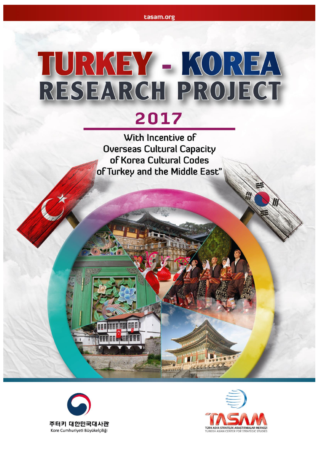# TURKEY - KOREA 2017

With Incentive of **Overseas Cultural Capacity** of Korea Cultural Codes of Turkey and the Middle East'